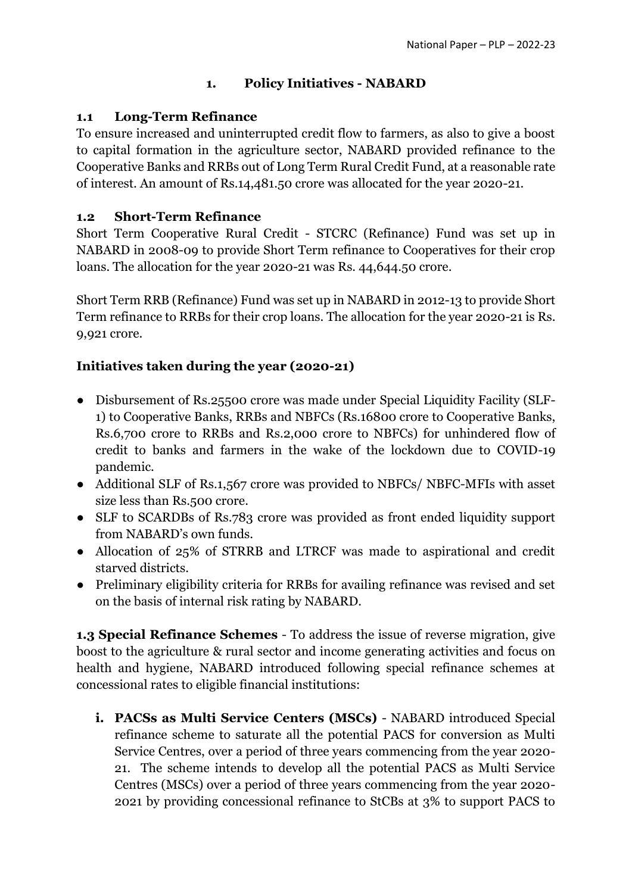# **1. Policy Initiatives - NABARD**

### **1.1 Long-Term Refinance**

To ensure increased and uninterrupted credit flow to farmers, as also to give a boost to capital formation in the agriculture sector, NABARD provided refinance to the Cooperative Banks and RRBs out of Long Term Rural Credit Fund, at a reasonable rate of interest. An amount of Rs.14,481.50 crore was allocated for the year 2020-21.

### **1.2 Short-Term Refinance**

Short Term Cooperative Rural Credit - STCRC (Refinance) Fund was set up in NABARD in 2008-09 to provide Short Term refinance to Cooperatives for their crop loans. The allocation for the year 2020-21 was Rs. 44,644.50 crore.

Short Term RRB (Refinance) Fund was set up in NABARD in 2012-13 to provide Short Term refinance to RRBs for their crop loans. The allocation for the year 2020-21 is Rs. 9,921 crore.

# **Initiatives taken during the year (2020-21)**

- Disbursement of Rs.25500 crore was made under Special Liquidity Facility (SLF-1) to Cooperative Banks, RRBs and NBFCs (Rs.16800 crore to Cooperative Banks, Rs.6,700 crore to RRBs and Rs.2,000 crore to NBFCs) for unhindered flow of credit to banks and farmers in the wake of the lockdown due to COVID-19 pandemic.
- Additional SLF of Rs.1,567 crore was provided to NBFCs/ NBFC-MFIs with asset size less than Rs.500 crore.
- SLF to SCARDBs of Rs.783 crore was provided as front ended liquidity support from NABARD's own funds.
- Allocation of 25% of STRRB and LTRCF was made to aspirational and credit starved districts.
- Preliminary eligibility criteria for RRBs for availing refinance was revised and set on the basis of internal risk rating by NABARD.

**1.3 Special Refinance Schemes** - To address the issue of reverse migration, give boost to the agriculture & rural sector and income generating activities and focus on health and hygiene, NABARD introduced following special refinance schemes at concessional rates to eligible financial institutions:

**i. PACSs as Multi Service Centers (MSCs)** - NABARD introduced Special refinance scheme to saturate all the potential PACS for conversion as Multi Service Centres, over a period of three years commencing from the year 2020- 21. The scheme intends to develop all the potential PACS as Multi Service Centres (MSCs) over a period of three years commencing from the year 2020- 2021 by providing concessional refinance to StCBs at 3% to support PACS to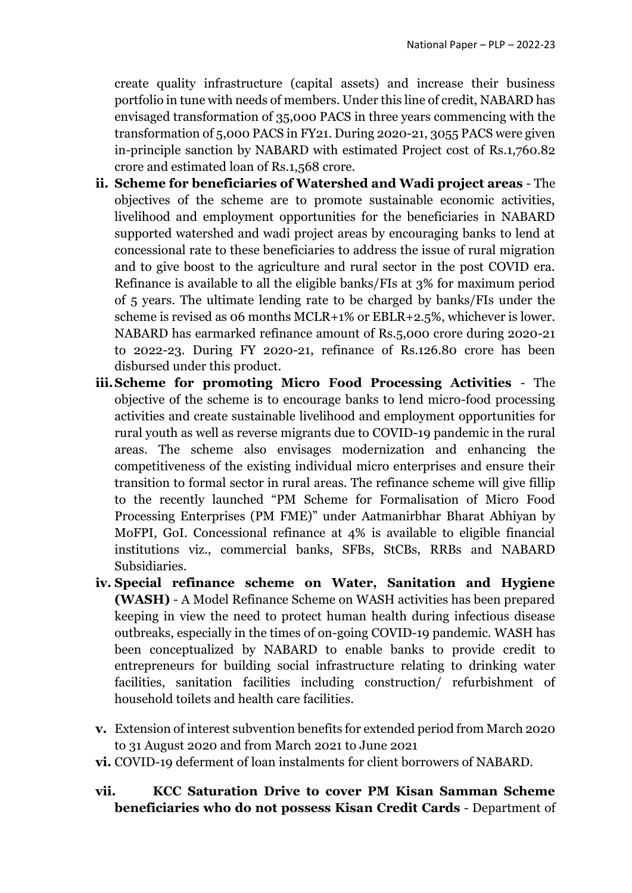create quality infrastructure (capital assets) and increase their business portfolio in tune with needs of members. Under this line of credit, NABARD has envisaged transformation of 35,000 PACS in three years commencing with the transformation of 5,000 PACS in FY21. During 2020-21, 3055 PACS were given in-principle sanction by NABARD with estimated Project cost of Rs.1,760.82 crore and estimated loan of Rs.1,568 crore.

- **ii. Scheme for beneficiaries of Watershed and Wadi project areas** The objectives of the scheme are to promote sustainable economic activities, livelihood and employment opportunities for the beneficiaries in NABARD supported watershed and wadi project areas by encouraging banks to lend at concessional rate to these beneficiaries to address the issue of rural migration and to give boost to the agriculture and rural sector in the post COVID era. Refinance is available to all the eligible banks/FIs at 3% for maximum period of 5 years. The ultimate lending rate to be charged by banks/FIs under the scheme is revised as 06 months MCLR+1% or EBLR+2.5%, whichever is lower. NABARD has earmarked refinance amount of Rs.5,000 crore during 2020-21 to 2022-23. During FY 2020-21, refinance of Rs.126.80 crore has been disbursed under this product.
- **iii.Scheme for promoting Micro Food Processing Activities**  The objective of the scheme is to encourage banks to lend micro-food processing activities and create sustainable livelihood and employment opportunities for rural youth as well as reverse migrants due to COVID-19 pandemic in the rural areas. The scheme also envisages modernization and enhancing the competitiveness of the existing individual micro enterprises and ensure their transition to formal sector in rural areas. The refinance scheme will give fillip to the recently launched "PM Scheme for Formalisation of Micro Food Processing Enterprises (PM FME)" under Aatmanirbhar Bharat Abhiyan by MoFPI, GoI. Concessional refinance at 4% is available to eligible financial institutions viz., commercial banks, SFBs, StCBs, RRBs and NABARD Subsidiaries.
- **iv. Special refinance scheme on Water, Sanitation and Hygiene (WASH)** - A Model Refinance Scheme on WASH activities has been prepared keeping in view the need to protect human health during infectious disease outbreaks, especially in the times of on-going COVID-19 pandemic. WASH has been conceptualized by NABARD to enable banks to provide credit to entrepreneurs for building social infrastructure relating to drinking water facilities, sanitation facilities including construction/ refurbishment of household toilets and health care facilities.
- **v.** Extension of interest subvention benefits for extended period from March 2020 to 31 August 2020 and from March 2021 to June 2021
- **vi.** COVID-19 deferment of loan instalments for client borrowers of NABARD.

#### **vii. KCC Saturation Drive to cover PM Kisan Samman Scheme beneficiaries who do not possess Kisan Credit Cards** - Department of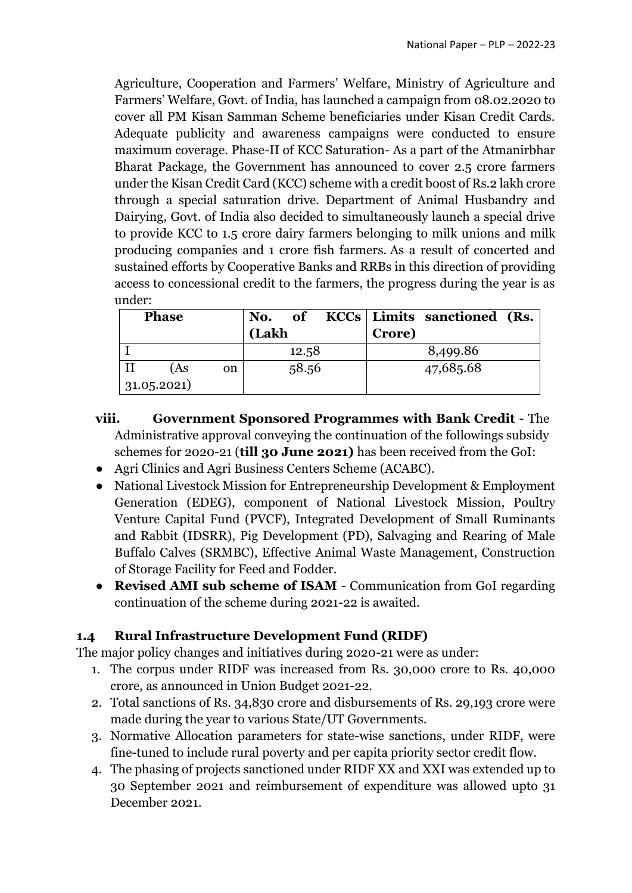Agriculture, Cooperation and Farmers' Welfare, Ministry of Agriculture and Farmers' Welfare, Govt. of India, has launched a campaign from 08.02.2020 to cover all PM Kisan Samman Scheme beneficiaries under Kisan Credit Cards. Adequate publicity and awareness campaigns were conducted to ensure maximum coverage. Phase-II of KCC Saturation- As a part of the Atmanirbhar Bharat Package, the Government has announced to cover 2.5 crore farmers under the Kisan Credit Card (KCC) scheme with a credit boost of Rs.2 lakh crore through a special saturation drive. Department of Animal Husbandry and Dairying, Govt. of India also decided to simultaneously launch a special drive to provide KCC to 1.5 crore dairy farmers belonging to milk unions and milk producing companies and 1 crore fish farmers. As a result of concerted and sustained efforts by Cooperative Banks and RRBs in this direction of providing access to concessional credit to the farmers, the progress during the year is as under:

|             | <b>Phase</b> |    | No.   | <b>of</b> |        | KCCs   Limits sanctioned (Rs. |  |
|-------------|--------------|----|-------|-----------|--------|-------------------------------|--|
|             |              |    | (Lakh |           | Crore) |                               |  |
|             |              |    |       | 12.58     |        | 8,499.86                      |  |
|             | (As          | on |       | 58.56     |        | 47,685.68                     |  |
| 31.05.2021) |              |    |       |           |        |                               |  |

- **viii. Government Sponsored Programmes with Bank Credit** The Administrative approval conveying the continuation of the followings subsidy schemes for 2020-21 (**till 30 June 2021)** has been received from the GoI:
- Agri Clinics and Agri Business Centers Scheme (ACABC).
- National Livestock Mission for Entrepreneurship Development & Employment Generation (EDEG), component of National Livestock Mission, Poultry Venture Capital Fund (PVCF), Integrated Development of Small Ruminants and Rabbit (IDSRR), Pig Development (PD), Salvaging and Rearing of Male Buffalo Calves (SRMBC), Effective Animal Waste Management, Construction of Storage Facility for Feed and Fodder.
- **Revised AMI sub scheme of ISAM**  Communication from GoI regarding continuation of the scheme during 2021-22 is awaited.

# **1.4 Rural Infrastructure Development Fund (RIDF)**

The major policy changes and initiatives during 2020-21 were as under:

- 1. The corpus under RIDF was increased from Rs. 30,000 crore to Rs. 40,000 crore, as announced in Union Budget 2021-22.
- 2. Total sanctions of Rs. 34,830 crore and disbursements of Rs. 29,193 crore were made during the year to various State/UT Governments.
- 3. Normative Allocation parameters for state-wise sanctions, under RIDF, were fine-tuned to include rural poverty and per capita priority sector credit flow.
- 4. The phasing of projects sanctioned under RIDF XX and XXI was extended up to 30 September 2021 and reimbursement of expenditure was allowed upto 31 December 2021.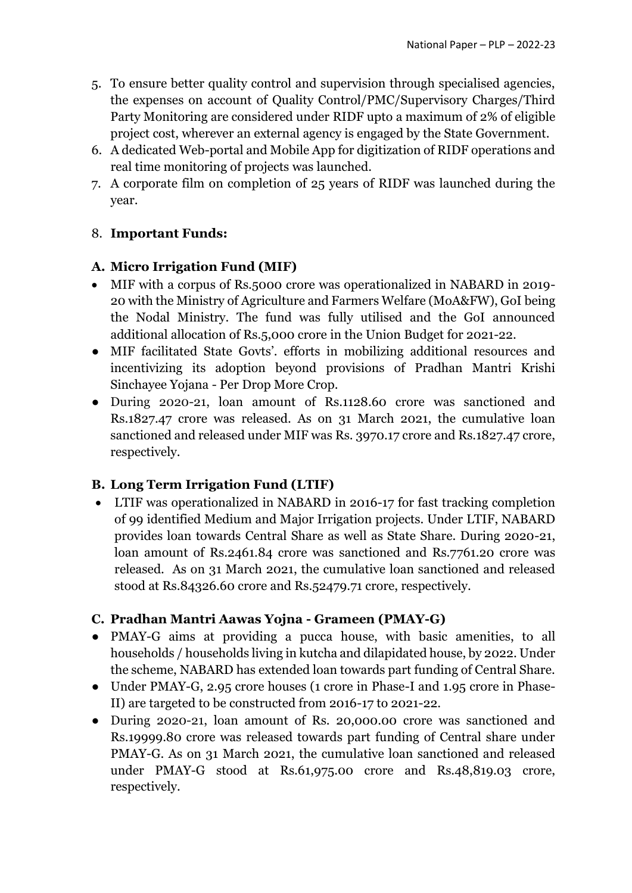- 5. To ensure better quality control and supervision through specialised agencies, the expenses on account of Quality Control/PMC/Supervisory Charges/Third Party Monitoring are considered under RIDF upto a maximum of 2% of eligible project cost, wherever an external agency is engaged by the State Government.
- 6. A dedicated Web-portal and Mobile App for digitization of RIDF operations and real time monitoring of projects was launched.
- 7. A corporate film on completion of 25 years of RIDF was launched during the year.

# 8. **Important Funds:**

#### **A. Micro Irrigation Fund (MIF)**

- MIF with a corpus of Rs.5000 crore was operationalized in NABARD in 2019- 20 with the Ministry of Agriculture and Farmers Welfare (MoA&FW), GoI being the Nodal Ministry. The fund was fully utilised and the GoI announced additional allocation of Rs.5,000 crore in the Union Budget for 2021-22.
- MIF facilitated State Govts'. efforts in mobilizing additional resources and incentivizing its adoption beyond provisions of Pradhan Mantri Krishi Sinchayee Yojana - Per Drop More Crop.
- During 2020-21, loan amount of Rs.1128.60 crore was sanctioned and Rs.1827.47 crore was released. As on 31 March 2021, the cumulative loan sanctioned and released under MIF was Rs. 3970.17 crore and Rs.1827.47 crore, respectively.

# **B. Long Term Irrigation Fund (LTIF)**

 LTIF was operationalized in NABARD in 2016-17 for fast tracking completion of 99 identified Medium and Major Irrigation projects. Under LTIF, NABARD provides loan towards Central Share as well as State Share. During 2020-21, loan amount of Rs.2461.84 crore was sanctioned and Rs.7761.20 crore was released. As on 31 March 2021, the cumulative loan sanctioned and released stood at Rs.84326.60 crore and Rs.52479.71 crore, respectively.

#### **C. Pradhan Mantri Aawas Yojna - Grameen (PMAY-G)**

- PMAY-G aims at providing a pucca house, with basic amenities, to all households / households living in kutcha and dilapidated house, by 2022. Under the scheme, NABARD has extended loan towards part funding of Central Share.
- Under PMAY-G, 2.95 crore houses (1 crore in Phase-I and 1.95 crore in Phase-II) are targeted to be constructed from 2016-17 to 2021-22.
- During 2020-21, loan amount of Rs. 20,000.00 crore was sanctioned and Rs.19999.80 crore was released towards part funding of Central share under PMAY-G. As on 31 March 2021, the cumulative loan sanctioned and released under PMAY-G stood at Rs.61,975.00 crore and Rs.48,819.03 crore, respectively.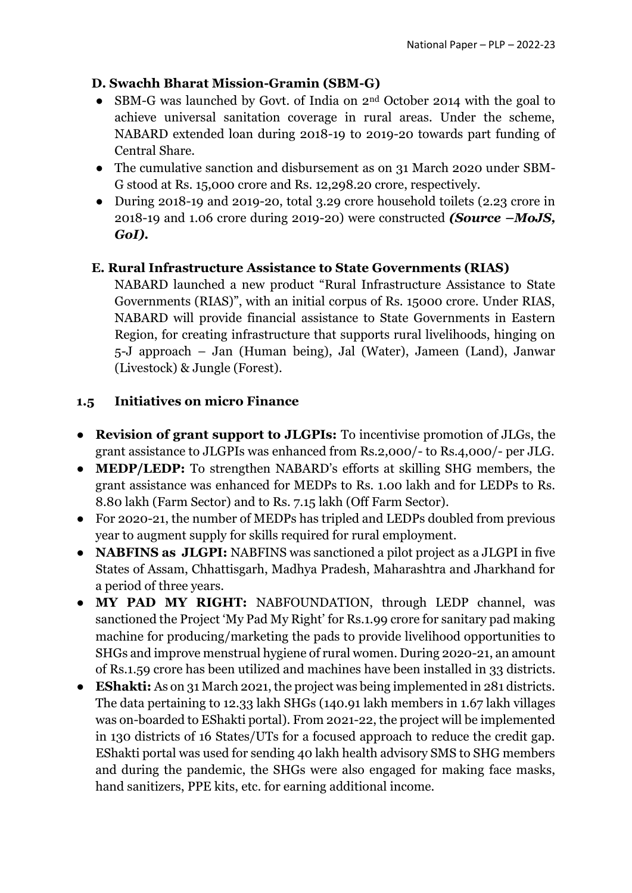### **D. Swachh Bharat Mission-Gramin (SBM-G)**

- SBM-G was launched by Govt. of India on 2<sup>nd</sup> October 2014 with the goal to achieve universal sanitation coverage in rural areas. Under the scheme, NABARD extended loan during 2018-19 to 2019-20 towards part funding of Central Share.
- The cumulative sanction and disbursement as on 31 March 2020 under SBM-G stood at Rs. 15,000 crore and Rs. 12,298.20 crore, respectively.
- During 2018-19 and 2019-20, total 3.29 crore household toilets (2.23 crore in 2018-19 and 1.06 crore during 2019-20) were constructed *(Source –MoJS, GoI).*

### **E. Rural Infrastructure Assistance to State Governments (RIAS)**

NABARD launched a new product "Rural Infrastructure Assistance to State Governments (RIAS)", with an initial corpus of Rs. 15000 crore. Under RIAS, NABARD will provide financial assistance to State Governments in Eastern Region, for creating infrastructure that supports rural livelihoods, hinging on 5-J approach – Jan (Human being), Jal (Water), Jameen (Land), Janwar (Livestock) & Jungle (Forest).

### **1.5 Initiatives on micro Finance**

- **Revision of grant support to JLGPIs:** To incentivise promotion of JLGs, the grant assistance to JLGPIs was enhanced from Rs.2,000/- to Rs.4,000/- per JLG.
- **MEDP/LEDP:** To strengthen NABARD's efforts at skilling SHG members, the grant assistance was enhanced for MEDPs to Rs. 1.00 lakh and for LEDPs to Rs. 8.80 lakh (Farm Sector) and to Rs. 7.15 lakh (Off Farm Sector).
- For 2020-21, the number of MEDPs has tripled and LEDPs doubled from previous year to augment supply for skills required for rural employment.
- **NABFINS as JLGPI:** NABFINS was sanctioned a pilot project as a JLGPI in five States of Assam, Chhattisgarh, Madhya Pradesh, Maharashtra and Jharkhand for a period of three years.
- **MY PAD MY RIGHT:** NABFOUNDATION, through LEDP channel, was sanctioned the Project 'My Pad My Right' for Rs.1.99 crore for sanitary pad making machine for producing/marketing the pads to provide livelihood opportunities to SHGs and improve menstrual hygiene of rural women. During 2020-21, an amount of Rs.1.59 crore has been utilized and machines have been installed in 33 districts.
- **EShakti:** As on 31 March 2021, the project was being implemented in 281 districts. The data pertaining to 12.33 lakh SHGs (140.91 lakh members in 1.67 lakh villages was on-boarded to EShakti portal). From 2021-22, the project will be implemented in 130 districts of 16 States/UTs for a focused approach to reduce the credit gap. EShakti portal was used for sending 40 lakh health advisory SMS to SHG members and during the pandemic, the SHGs were also engaged for making face masks, hand sanitizers, PPE kits, etc. for earning additional income.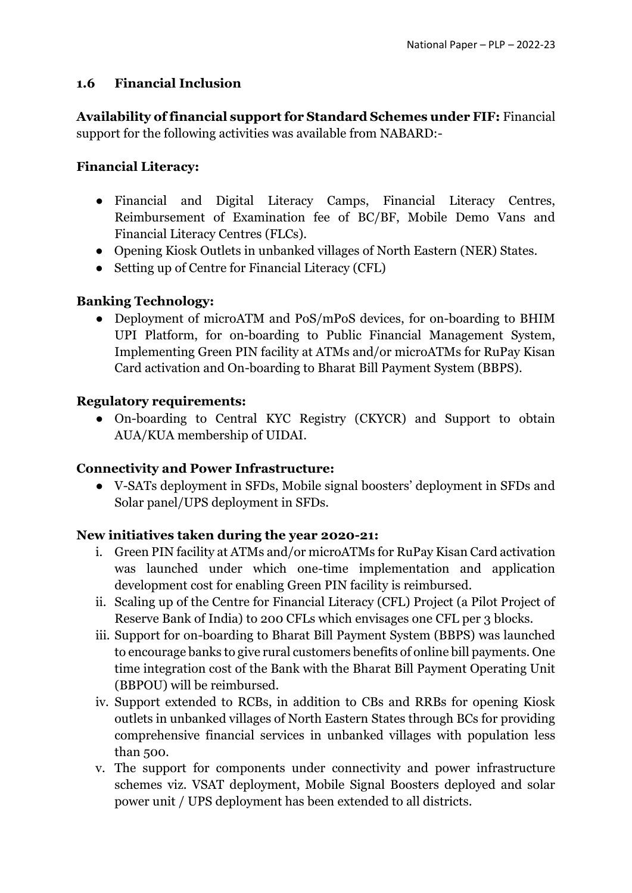### **1.6 Financial Inclusion**

**Availability of financial support for Standard Schemes under FIF:** Financial support for the following activities was available from NABARD:-

### **Financial Literacy:**

- Financial and Digital Literacy Camps, Financial Literacy Centres, Reimbursement of Examination fee of BC/BF, Mobile Demo Vans and Financial Literacy Centres (FLCs).
- Opening Kiosk Outlets in unbanked villages of North Eastern (NER) States.
- Setting up of Centre for Financial Literacy (CFL)

### **Banking Technology:**

• Deployment of microATM and PoS/mPoS devices, for on-boarding to BHIM UPI Platform, for on-boarding to Public Financial Management System, Implementing Green PIN facility at ATMs and/or microATMs for RuPay Kisan Card activation and On-boarding to Bharat Bill Payment System (BBPS).

### **Regulatory requirements:**

● On-boarding to Central KYC Registry (CKYCR) and Support to obtain AUA/KUA membership of UIDAI.

#### **Connectivity and Power Infrastructure:**

● V-SATs deployment in SFDs, Mobile signal boosters' deployment in SFDs and Solar panel/UPS deployment in SFDs.

#### **New initiatives taken during the year 2020-21:**

- i. Green PIN facility at ATMs and/or microATMs for RuPay Kisan Card activation was launched under which one-time implementation and application development cost for enabling Green PIN facility is reimbursed.
- ii. Scaling up of the Centre for Financial Literacy (CFL) Project (a Pilot Project of Reserve Bank of India) to 200 CFLs which envisages one CFL per 3 blocks.
- iii. Support for on-boarding to Bharat Bill Payment System (BBPS) was launched to encourage banks to give rural customers benefits of online bill payments. One time integration cost of the Bank with the Bharat Bill Payment Operating Unit (BBPOU) will be reimbursed.
- iv. Support extended to RCBs, in addition to CBs and RRBs for opening Kiosk outlets in unbanked villages of North Eastern States through BCs for providing comprehensive financial services in unbanked villages with population less than 500.
- v. The support for components under connectivity and power infrastructure schemes viz. VSAT deployment, Mobile Signal Boosters deployed and solar power unit / UPS deployment has been extended to all districts.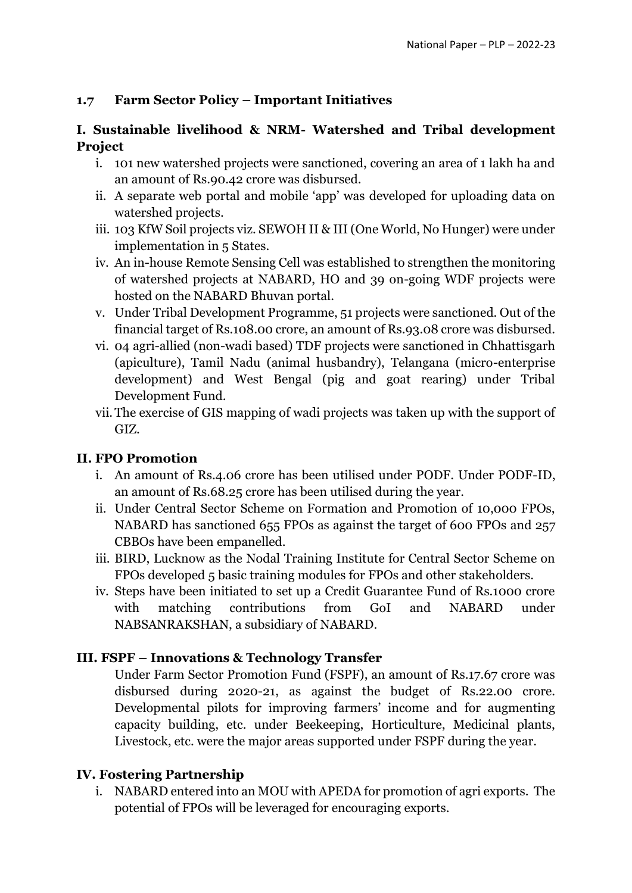### **1.7 Farm Sector Policy – Important Initiatives**

### **I. Sustainable livelihood & NRM- Watershed and Tribal development Project**

- i. 101 new watershed projects were sanctioned, covering an area of 1 lakh ha and an amount of Rs.90.42 crore was disbursed.
- ii. A separate web portal and mobile 'app' was developed for uploading data on watershed projects.
- iii. 103 KfW Soil projects viz. SEWOH II & III (One World, No Hunger) were under implementation in 5 States.
- iv. An in-house Remote Sensing Cell was established to strengthen the monitoring of watershed projects at NABARD, HO and 39 on-going WDF projects were hosted on the NABARD Bhuvan portal.
- v. Under Tribal Development Programme, 51 projects were sanctioned. Out of the financial target of Rs.108.00 crore, an amount of Rs.93.08 crore was disbursed.
- vi. 04 agri-allied (non-wadi based) TDF projects were sanctioned in Chhattisgarh (apiculture), Tamil Nadu (animal husbandry), Telangana (micro-enterprise development) and West Bengal (pig and goat rearing) under Tribal Development Fund.
- vii.The exercise of GIS mapping of wadi projects was taken up with the support of GIZ.

# **II. FPO Promotion**

- i. An amount of Rs.4.06 crore has been utilised under PODF. Under PODF-ID, an amount of Rs.68.25 crore has been utilised during the year.
- ii. Under Central Sector Scheme on Formation and Promotion of 10,000 FPOs, NABARD has sanctioned 655 FPOs as against the target of 600 FPOs and 257 CBBOs have been empanelled.
- iii. BIRD, Lucknow as the Nodal Training Institute for Central Sector Scheme on FPOs developed 5 basic training modules for FPOs and other stakeholders.
- iv. Steps have been initiated to set up a Credit Guarantee Fund of Rs.1000 crore with matching contributions from GoI and NABARD under NABSANRAKSHAN, a subsidiary of NABARD.

# **III. FSPF – Innovations & Technology Transfer**

Under Farm Sector Promotion Fund (FSPF), an amount of Rs.17.67 crore was disbursed during 2020-21, as against the budget of Rs.22.00 crore. Developmental pilots for improving farmers' income and for augmenting capacity building, etc. under Beekeeping, Horticulture, Medicinal plants, Livestock, etc. were the major areas supported under FSPF during the year.

#### **IV. Fostering Partnership**

i. NABARD entered into an MOU with APEDA for promotion of agri exports. The potential of FPOs will be leveraged for encouraging exports.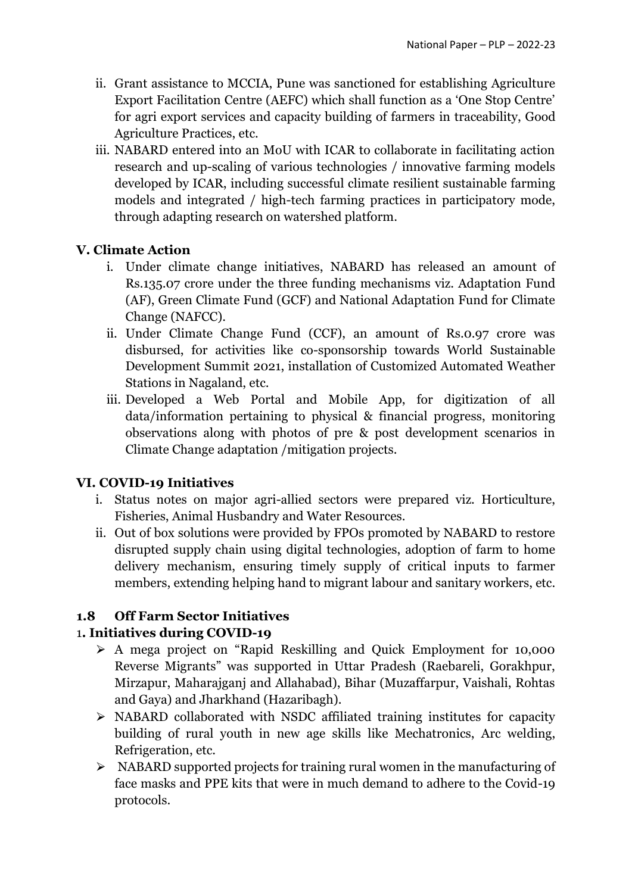- ii. Grant assistance to MCCIA, Pune was sanctioned for establishing Agriculture Export Facilitation Centre (AEFC) which shall function as a 'One Stop Centre' for agri export services and capacity building of farmers in traceability, Good Agriculture Practices, etc.
- iii. NABARD entered into an MoU with ICAR to collaborate in facilitating action research and up-scaling of various technologies / innovative farming models developed by ICAR, including successful climate resilient sustainable farming models and integrated / high-tech farming practices in participatory mode, through adapting research on watershed platform.

### **V. Climate Action**

- i. Under climate change initiatives, NABARD has released an amount of Rs.135.07 crore under the three funding mechanisms viz. Adaptation Fund (AF), Green Climate Fund (GCF) and National Adaptation Fund for Climate Change (NAFCC).
- ii. Under Climate Change Fund (CCF), an amount of Rs.0.97 crore was disbursed, for activities like co-sponsorship towards World Sustainable Development Summit 2021, installation of Customized Automated Weather Stations in Nagaland, etc.
- iii. Developed a Web Portal and Mobile App, for digitization of all data/information pertaining to physical & financial progress, monitoring observations along with photos of pre & post development scenarios in Climate Change adaptation /mitigation projects.

#### **VI. COVID-19 Initiatives**

- i. Status notes on major agri-allied sectors were prepared viz. Horticulture, Fisheries, Animal Husbandry and Water Resources.
- ii. Out of box solutions were provided by FPOs promoted by NABARD to restore disrupted supply chain using digital technologies, adoption of farm to home delivery mechanism, ensuring timely supply of critical inputs to farmer members, extending helping hand to migrant labour and sanitary workers, etc.

# **1.8 Off Farm Sector Initiatives**

# 1**. Initiatives during COVID-19**

- ⮚ A mega project on "Rapid Reskilling and Quick Employment for 10,000 Reverse Migrants" was supported in Uttar Pradesh (Raebareli, Gorakhpur, Mirzapur, Maharajganj and Allahabad), Bihar (Muzaffarpur, Vaishali, Rohtas and Gaya) and Jharkhand (Hazaribagh).
- $\triangleright$  NABARD collaborated with NSDC affiliated training institutes for capacity building of rural youth in new age skills like Mechatronics, Arc welding, Refrigeration, etc.
- $\triangleright$  NABARD supported projects for training rural women in the manufacturing of face masks and PPE kits that were in much demand to adhere to the Covid-19 protocols.